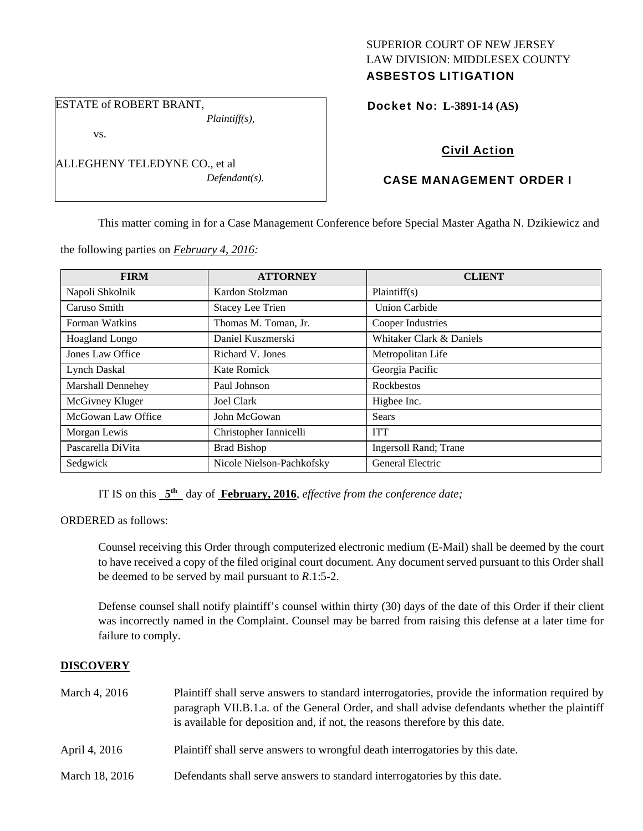## SUPERIOR COURT OF NEW JERSEY LAW DIVISION: MIDDLESEX COUNTY ASBESTOS LITIGATION

ESTATE of ROBERT BRANT, *Plaintiff(s),* 

vs.

ALLEGHENY TELEDYNE CO., et al *Defendant(s).*  Docket No: **L-3891-14 (AS)** 

# Civil Action

# CASE MANAGEMENT ORDER I

This matter coming in for a Case Management Conference before Special Master Agatha N. Dzikiewicz and

| <b>FIRM</b>              | <b>ATTORNEY</b>           | <b>CLIENT</b>                 |
|--------------------------|---------------------------|-------------------------------|
| Napoli Shkolnik          | Kardon Stolzman           | Plaintiff(s)                  |
| Caruso Smith             | <b>Stacey Lee Trien</b>   | <b>Union Carbide</b>          |
| Forman Watkins           | Thomas M. Toman, Jr.      | Cooper Industries             |
| <b>Hoagland Longo</b>    | Daniel Kuszmerski         | Whitaker Clark & Daniels      |
| Jones Law Office         | Richard V. Jones          | Metropolitan Life             |
| Lynch Daskal             | Kate Romick               | Georgia Pacific               |
| <b>Marshall Dennehey</b> | Paul Johnson              | <b>Rockbestos</b>             |
| McGivney Kluger          | Joel Clark                | Higbee Inc.                   |
| McGowan Law Office       | John McGowan              | Sears                         |
| Morgan Lewis             | Christopher Iannicelli    | <b>ITT</b>                    |
| Pascarella DiVita        | <b>Brad Bishop</b>        | <b>Ingersoll Rand</b> ; Trane |
| Sedgwick                 | Nicole Nielson-Pachkofsky | General Electric              |

the following parties on *February 4, 2016:* 

IT IS on this **5th** day of **February, 2016**, *effective from the conference date;*

ORDERED as follows:

Counsel receiving this Order through computerized electronic medium (E-Mail) shall be deemed by the court to have received a copy of the filed original court document. Any document served pursuant to this Order shall be deemed to be served by mail pursuant to *R*.1:5-2.

Defense counsel shall notify plaintiff's counsel within thirty (30) days of the date of this Order if their client was incorrectly named in the Complaint. Counsel may be barred from raising this defense at a later time for failure to comply.

## **DISCOVERY**

| March 4, 2016  | Plaintiff shall serve answers to standard interrogatories, provide the information required by<br>paragraph VII.B.1.a. of the General Order, and shall advise defendants whether the plaintiff<br>is available for deposition and, if not, the reasons therefore by this date. |
|----------------|--------------------------------------------------------------------------------------------------------------------------------------------------------------------------------------------------------------------------------------------------------------------------------|
| April 4, 2016  | Plaintiff shall serve answers to wrongful death interrogatories by this date.                                                                                                                                                                                                  |
| March 18, 2016 | Defendants shall serve answers to standard interrogatories by this date.                                                                                                                                                                                                       |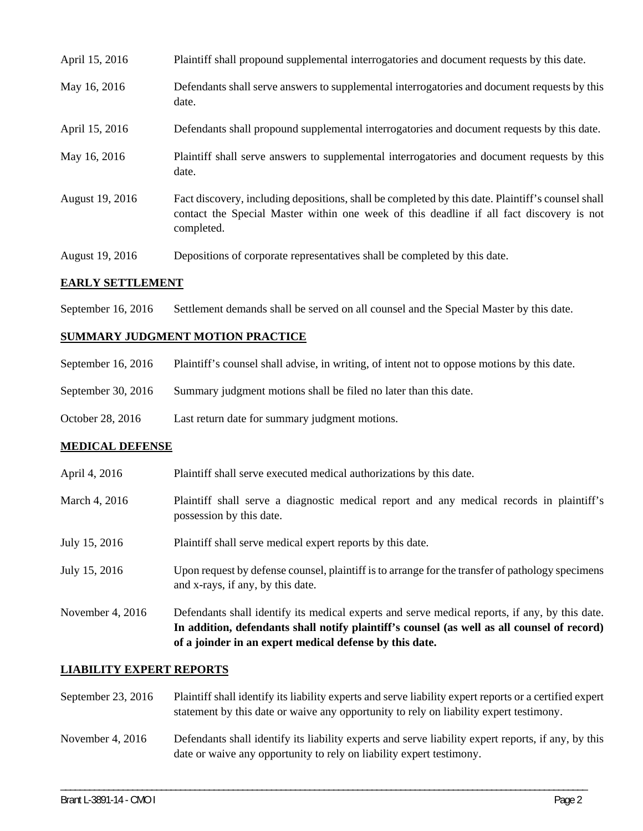| April 15, 2016  | Plaintiff shall propound supplemental interrogatories and document requests by this date.                                                                                                                   |
|-----------------|-------------------------------------------------------------------------------------------------------------------------------------------------------------------------------------------------------------|
| May 16, 2016    | Defendants shall serve answers to supplemental interrogatories and document requests by this<br>date.                                                                                                       |
| April 15, 2016  | Defendants shall propound supplemental interrogatories and document requests by this date.                                                                                                                  |
| May 16, 2016    | Plaintiff shall serve answers to supplemental interrogatories and document requests by this<br>date.                                                                                                        |
| August 19, 2016 | Fact discovery, including depositions, shall be completed by this date. Plaintiff's counsel shall<br>contact the Special Master within one week of this deadline if all fact discovery is not<br>completed. |
| August 19, 2016 | Depositions of corporate representatives shall be completed by this date.                                                                                                                                   |

### **EARLY SETTLEMENT**

September 16, 2016 Settlement demands shall be served on all counsel and the Special Master by this date.

## **SUMMARY JUDGMENT MOTION PRACTICE**

|  | September 16, 2016 | Plaintiff's counsel shall advise, in writing, of intent not to oppose motions by this date. |  |  |  |
|--|--------------------|---------------------------------------------------------------------------------------------|--|--|--|
|--|--------------------|---------------------------------------------------------------------------------------------|--|--|--|

- September 30, 2016 Summary judgment motions shall be filed no later than this date.
- October 28, 2016 Last return date for summary judgment motions.

#### **MEDICAL DEFENSE**

- April 4, 2016 Plaintiff shall serve executed medical authorizations by this date.
- March 4, 2016 Plaintiff shall serve a diagnostic medical report and any medical records in plaintiff's possession by this date.
- July 15, 2016 Plaintiff shall serve medical expert reports by this date.
- July 15, 2016 Upon request by defense counsel, plaintiff is to arrange for the transfer of pathology specimens and x-rays, if any, by this date.
- November 4, 2016 Defendants shall identify its medical experts and serve medical reports, if any, by this date. **In addition, defendants shall notify plaintiff's counsel (as well as all counsel of record) of a joinder in an expert medical defense by this date.**

## **LIABILITY EXPERT REPORTS**

| September 23, $2016$ | Plaintiff shall identify its liability experts and serve liability expert reports or a certified expert<br>statement by this date or waive any opportunity to rely on liability expert testimony. |
|----------------------|---------------------------------------------------------------------------------------------------------------------------------------------------------------------------------------------------|
| November 4, $2016$   | Defendants shall identify its liability experts and serve liability expert reports, if any, by this<br>date or waive any opportunity to rely on liability expert testimony.                       |

\_\_\_\_\_\_\_\_\_\_\_\_\_\_\_\_\_\_\_\_\_\_\_\_\_\_\_\_\_\_\_\_\_\_\_\_\_\_\_\_\_\_\_\_\_\_\_\_\_\_\_\_\_\_\_\_\_\_\_\_\_\_\_\_\_\_\_\_\_\_\_\_\_\_\_\_\_\_\_\_\_\_\_\_\_\_\_\_\_\_\_\_\_\_\_\_\_\_\_\_\_\_\_\_\_\_\_\_\_\_